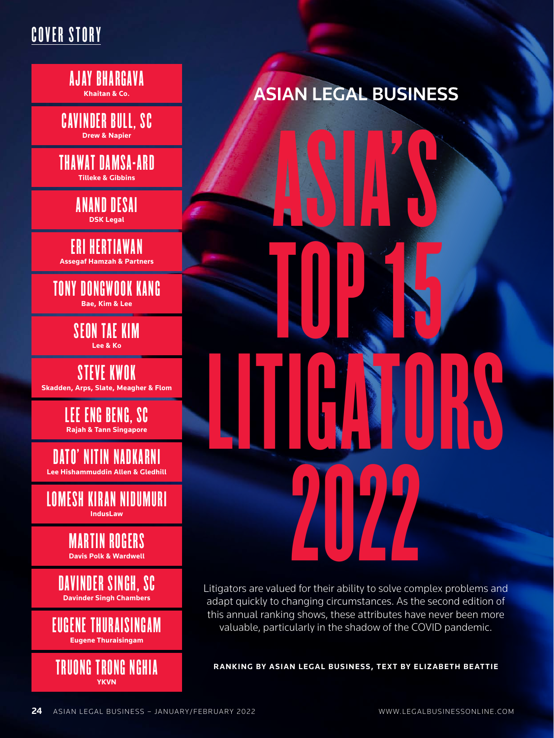## COVER STORY

AJAY BHARGAVA **Khaitan & Co.**

CAVINDER BULL, SC **Drew & Napier**

THAWAT DAMSA-ARD **Tilleke & Gibbins**

> ANAND DESAI **DSK Legal**

ERI HERTIAWAN **Assegaf Hamzah & Partners**

TONY DONGWOOK KANG **Bae, Kim & Lee**

> SEON TAE KIM **Lee & Ko**

STEVE KWOK **Skadden, Arps, Slate, Meagher & Flom**

> LEE ENG BENG, SC **Rajah & Tann Singapore**

DATO' NITIN NADKARNI **Lee Hishammuddin Allen & Gledhill**

LOMESH KIRAN NIDUMURI **IndusLaw**

> MARTIN ROGERS **Davis Polk & Wardwell**

DAVINDER SINGH, SC **Davinder Singh Chambers**

EUGENE THURAISINGAM **Eugene Thuraisingam**



# **ASIAN LEGAL BUSINESS**

**2022** TOP 15 LITIGATORS N ASIA'S

Litigators are valued for their ability to solve complex problems and adapt quickly to changing circumstances. As the second edition of this annual ranking shows, these attributes have never been more valuable, particularly in the shadow of the COVID pandemic.

**RANKING BY ASIAN LEGAL BUSINESS, TEXT BY ELIZABETH BEATTIE**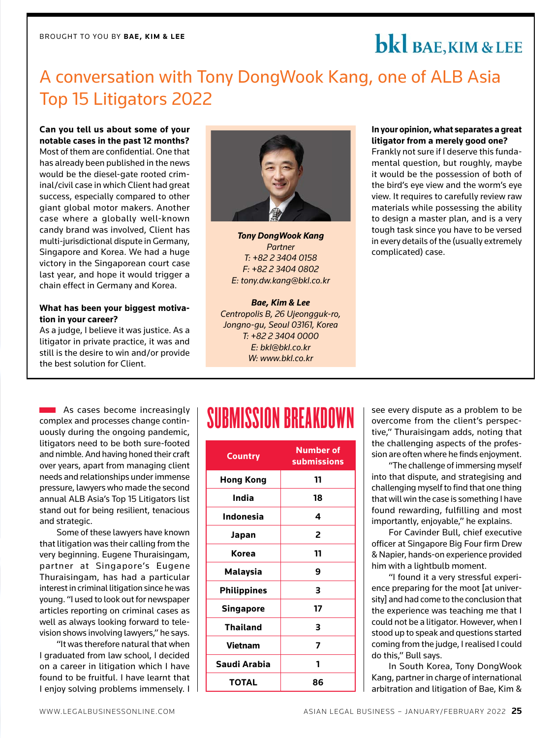# bkl BAE, KIM & LEE

## A conversation with Tony DongWook Kang, one of ALB Asia Top 15 Litigators 2022

**Can you tell us about some of your notable cases in the past 12 months?** Most of them are confidential. One that has already been published in the news would be the diesel-gate rooted criminal/civil case in which Client had great success, especially compared to other giant global motor makers. Another case where a globally well-known candy brand was involved, Client has multi-jurisdictional dispute in Germany, Singapore and Korea. We had a huge victory in the Singaporean court case last year, and hope it would trigger a chain effect in Germany and Korea.

#### **What has been your biggest motivation in your career?**

As a judge, I believe it was justice. As a litigator in private practice, it was and still is the desire to win and/or provide the best solution for Client.



*Tony DongWook Kang Partner T: +82 2 3404 0158 F: +82 2 3404 0802 E: tony.dw.kang@bkl.co.kr*

*Bae, Kim & Lee Centropolis B, 26 Ujeongguk-ro, Jongno-gu, Seoul 03161, Korea T: +82 2 3404 0000 E: bkl@bkl.co.kr W: www.bkl.co.kr*

#### **In your opinion, what separates a great litigator from a merely good one?**

Frankly not sure if I deserve this fundamental question, but roughly, maybe it would be the possession of both of the bird's eye view and the worm's eye view. It requires to carefully review raw materials while possessing the ability to design a master plan, and is a very tough task since you have to be versed in every details of the (usually extremely complicated) case.

complex and processes change continuously during the ongoing pandemic, litigators need to be both sure-footed and nimble. And having honed their craft over years, apart from managing client needs and relationships under immense pressure, lawyers who made the second annual ALB Asia's Top 15 Litigators list stand out for being resilient, tenacious and strategic.

Some of these lawyers have known that litigation was their calling from the very beginning. Eugene Thuraisingam, partner at Singapore's Eugene Thuraisingam, has had a particular interest in criminal litigation since he was young. "I used to look out for newspaper articles reporting on criminal cases as well as always looking forward to television shows involving lawyers," he says.

"It was therefore natural that when I graduated from law school, I decided on a career in litigation which I have found to be fruitful. I have learnt that I enjoy solving problems immensely. I

# Submit As cases become increasingly | **SUBMISSION BREAKDOWN**

| <b>Country</b>     | <b>Number of</b><br><b>submissions</b> |
|--------------------|----------------------------------------|
| <b>Hong Kong</b>   | 11                                     |
| India              | 18                                     |
| <b>Indonesia</b>   | 4                                      |
| Japan              | 2                                      |
| Korea              | 11                                     |
| <b>Malaysia</b>    | 9                                      |
| <b>Philippines</b> | 3                                      |
| <b>Singapore</b>   | 17                                     |
| <b>Thailand</b>    | з                                      |
| <b>Vietnam</b>     | 7                                      |
| Saudi Arabia       | 1                                      |
| <b>TOTAL</b>       | 86                                     |

see every dispute as a problem to be overcome from the client's perspective," Thuraisingam adds, noting that the challenging aspects of the profession are often where he finds enjoyment.

"The challenge of immersing myself into that dispute, and strategising and challenging myself to find that one thing that will win the case is something I have found rewarding, fulfilling and most importantly, enjoyable," he explains.

For Cavinder Bull, chief executive officer at Singapore Big Four firm Drew & Napier, hands-on experience provided him with a lightbulb moment.

"I found it a very stressful experience preparing for the moot [at university] and had come to the conclusion that the experience was teaching me that I could not be a litigator. However, when I stood up to speak and questions started coming from the judge, I realised I could do this," Bull says.

In South Korea, Tony DongWook Kang, partner in charge of international arbitration and litigation of Bae, Kim &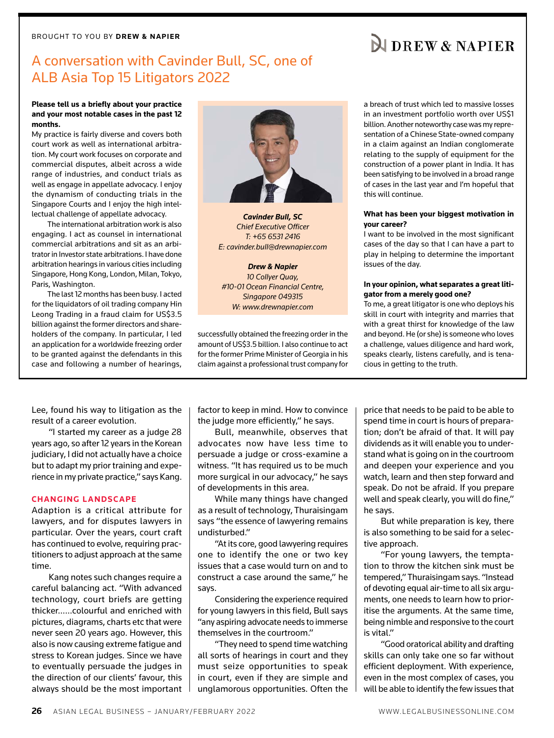### A conversation with Cavinder Bull, SC, one of ALB Asia Top 15 Litigators 2022

#### **Please tell us a briefly about your practice and your most notable cases in the past 12 months.**

My practice is fairly diverse and covers both court work as well as international arbitration. My court work focuses on corporate and commercial disputes, albeit across a wide range of industries, and conduct trials as well as engage in appellate advocacy. I enjoy the dynamism of conducting trials in the Singapore Courts and I enjoy the high intellectual challenge of appellate advocacy.

The international arbitration work is also engaging. I act as counsel in international commercial arbitrations and sit as an arbitrator in Investor state arbitrations. I have done arbitration hearings in various cities including Singapore, Hong Kong, London, Milan, Tokyo, Paris, Washington.

The last 12 months has been busy. I acted for the liquidators of oil trading company Hin Leong Trading in a fraud claim for US\$3.5 billion against the former directors and shareholders of the company. In particular, I led an application for a worldwide freezing order to be granted against the defendants in this case and following a number of hearings,



*Cavinder Bull, SC Chief Executive Officer T: +65 6531 2416 E: cavinder.bull@drewnapier.com*

*Drew & Napier 10 Collyer Quay, #10-01 Ocean Financial Centre, Singapore 049315 W: www.drewnapier.com*

successfully obtained the freezing order in the amount of US\$3.5 billion. I also continue to act for the former Prime Minister of Georgia in his claim against a professional trust company for a breach of trust which led to massive losses in an investment portfolio worth over US\$1 billion. Another noteworthy case was my representation of a Chinese State-owned company in a claim against an Indian conglomerate relating to the supply of equipment for the construction of a power plant in India. It has been satisfying to be involved in a broad range of cases in the last year and I'm hopeful that this will continue.

#### **What has been your biggest motivation in your career?**

I want to be involved in the most significant cases of the day so that I can have a part to play in helping to determine the important issues of the day.

#### **In your opinion, what separates a great litigator from a merely good one?**

To me, a great litigator is one who deploys his skill in court with integrity and marries that with a great thirst for knowledge of the law and beyond. He (or she) is someone who loves a challenge, values diligence and hard work, speaks clearly, listens carefully, and is tenacious in getting to the truth.

Lee, found his way to litigation as the result of a career evolution.

"I started my career as a judge 28 years ago, so after 12 years in the Korean judiciary, I did not actually have a choice but to adapt my prior training and experience in my private practice," says Kang.

#### **CHANGING LANDSCAPE**

Adaption is a critical attribute for lawyers, and for disputes lawyers in particular. Over the years, court craft has continued to evolve, requiring practitioners to adjust approach at the same time.

Kang notes such changes require a careful balancing act. "With advanced technology, court briefs are getting thicker……colourful and enriched with pictures, diagrams, charts etc that were never seen 20 years ago. However, this also is now causing extreme fatigue and stress to Korean judges. Since we have to eventually persuade the judges in the direction of our clients' favour, this always should be the most important factor to keep in mind. How to convince the judge more efficiently," he says.

Bull, meanwhile, observes that advocates now have less time to persuade a judge or cross-examine a witness. "It has required us to be much more surgical in our advocacy," he says of developments in this area.

While many things have changed as a result of technology, Thuraisingam says "the essence of lawyering remains undisturbed."

"At its core, good lawyering requires one to identify the one or two key issues that a case would turn on and to construct a case around the same," he says.

Considering the experience required for young lawyers in this field, Bull says "any aspiring advocate needs to immerse themselves in the courtroom."

"They need to spend time watching all sorts of hearings in court and they must seize opportunities to speak in court, even if they are simple and unglamorous opportunities. Often the price that needs to be paid to be able to spend time in court is hours of preparation; don't be afraid of that. It will pay dividends as it will enable you to understand what is going on in the courtroom and deepen your experience and you watch, learn and then step forward and speak. Do not be afraid. If you prepare well and speak clearly, you will do fine," he says.

But while preparation is key, there is also something to be said for a selective approach.

"For young lawyers, the temptation to throw the kitchen sink must be tempered," Thuraisingam says. "Instead of devoting equal air-time to all six arguments, one needs to learn how to prioritise the arguments. At the same time, being nimble and responsive to the court is vital."

"Good oratorical ability and drafting skills can only take one so far without efficient deployment. With experience, even in the most complex of cases, you will be able to identify the few issues that